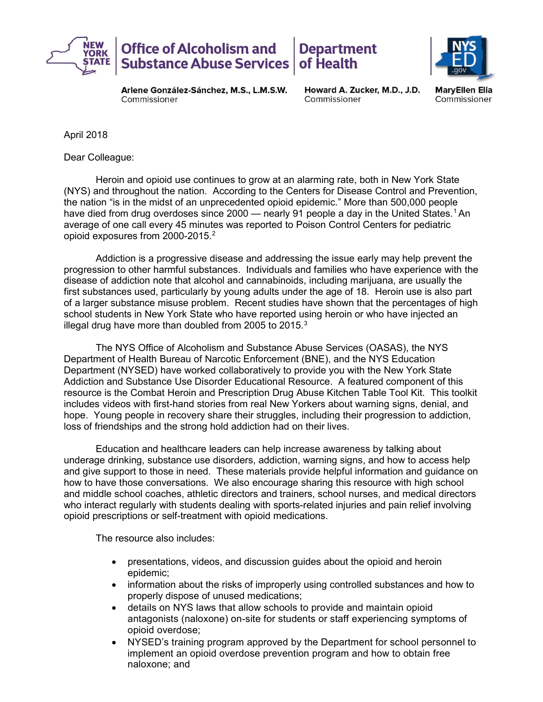



Arlene González-Sánchez, M.S., L.M.S.W. Commissioner

Howard A. Zucker, M.D., J.D. Commissioner

MaryEllen Elia Commissioner

April 2018

Dear Colleague:

opioid exposures from 2000-2015. $^2$ Heroin and opioid use continues to grow at an alarming rate, both in New York State (NYS) and throughout the nation. According to the Centers for Disease Control and Prevention, the nation "is in the midst of an unprecedented opioid epidemic." More than 500,000 people have died from drug overdoses since 2000 — nearly 91 people a day in the United States.<sup>1</sup> An average of one call every 45 minutes was reported to Poison Control Centers for pediatric

illegal drug have more than doubled from 2005 to 2015. $3$ Addiction is a progressive disease and addressing the issue early may help prevent the progression to other harmful substances. Individuals and families who have experience with the disease of addiction note that alcohol and cannabinoids, including marijuana, are usually the first substances used, particularly by young adults under the age of 18. Heroin use is also part of a larger substance misuse problem. Recent studies have shown that the percentages of high school students in New York State who have reported using heroin or who have injected an

The NYS Office of Alcoholism and Substance Abuse Services (OASAS), the NYS Department of Health Bureau of Narcotic Enforcement (BNE), and the NYS Education Department (NYSED) have worked collaboratively to provide you with the New York State Addiction and Substance Use Disorder Educational Resource. A featured component of this resource is the Combat Heroin and Prescription Drug Abuse Kitchen Table Tool Kit. This toolkit includes videos with first-hand stories from real New Yorkers about warning signs, denial, and hope. Young people in recovery share their struggles, including their progression to addiction, loss of friendships and the strong hold addiction had on their lives.

 opioid prescriptions or self-treatment with opioid medications. The resource also includes: Education and healthcare leaders can help increase awareness by talking about underage drinking, substance use disorders, addiction, warning signs, and how to access help and give support to those in need. These materials provide helpful information and guidance on how to have those conversations. We also encourage sharing this resource with high school and middle school coaches, athletic directors and trainers, school nurses, and medical directors who interact regularly with students dealing with sports-related injuries and pain relief involving

The resource also includes:

- presentations, videos, and discussion guides about the opioid and heroin epidemic;
- information about the risks of improperly using controlled substances and how to properly dispose of unused medications;
- details on NYS laws that allow schools to provide and maintain opioid antagonists (naloxone) on-site for students or staff experiencing symptoms of opioid overdose;
- NYSED's training program approved by the Department for school personnel to implement an opioid overdose prevention program and how to obtain free naloxone; and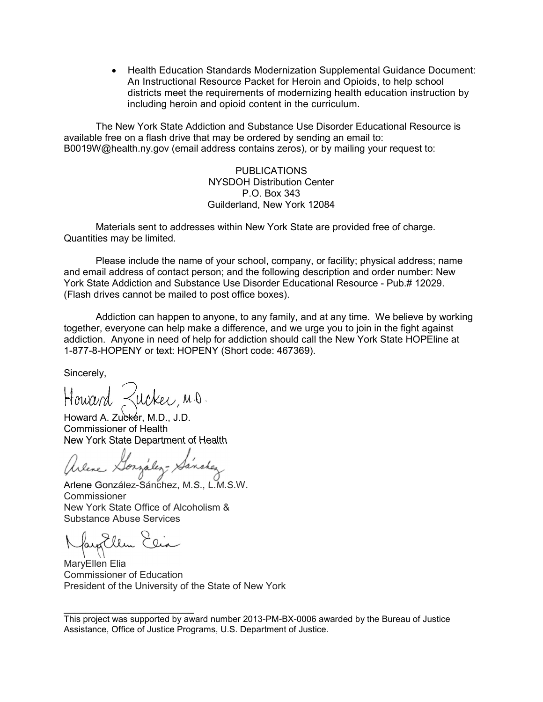An Instructional Resource Packet for Heroin and Opioids, to help school districts meet the requirements of modernizing health education instruction by including heroin and opioid content in the curriculum. Health Education Standards Modernization Supplemental Guidance Document:

 The New York State Addiction and Substance Use Disorder Educational Resource is available free on a flash drive that may be ordered by sending an email to: B0019W@health.ny.gov (email address contains zeros), or by mailing your request to:

> PUBLICATIONS NYSDOH Distribution Center P.O. Box 343 Guilderland, New York 12084

Materials sent to addresses within New York State are provided free of charge. Quantities may be limited.

Please include the name of your school, company, or facility; physical address; name and email address of contact person; and the following description and order number: New York State Addiction and Substance Use Disorder Educational Resource - Pub.# 12029. (Flash drives cannot be mailed to post office boxes).

Addiction can happen to anyone, to any family, and at any time. We believe by working together, everyone can help make a difference, and we urge you to join in the fight against addiction. Anyone in need of help for addiction should call the New York State HOPEline at 1-877-8-HOPENY or text: HOPENY (Short code: 467369).

Sincerely,

ucker, M.D.

Howard A. Zuckér, M.D., J.D. Commissioner of Health New York State Department of Health

Arlene Gorzalez- X

 Arlene González-Sánchez, M.S., L.M.S.W. New York State Office of Alcoholism & Commissioner Substance Abuse Services

ayallen

 $\overline{\phantom{a}}$  , where  $\overline{\phantom{a}}$ 

 Commissioner of Education President of the University of the State of New York MaryEllen Elia

 This project was supported by award number 2013-PM-BX-0006 awarded by the Bureau of Justice Assistance, Office of Justice Programs, U.S. Department of Justice.